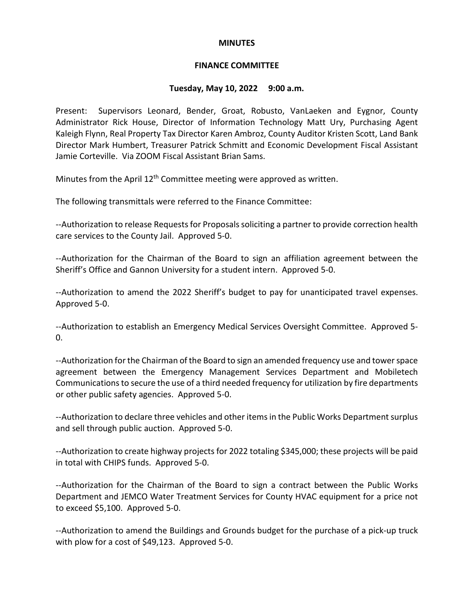#### **MINUTES**

### **FINANCE COMMITTEE**

#### **Tuesday, May 10, 2022 9:00 a.m.**

Present: Supervisors Leonard, Bender, Groat, Robusto, VanLaeken and Eygnor, County Administrator Rick House, Director of Information Technology Matt Ury, Purchasing Agent Kaleigh Flynn, Real Property Tax Director Karen Ambroz, County Auditor Kristen Scott, Land Bank Director Mark Humbert, Treasurer Patrick Schmitt and Economic Development Fiscal Assistant Jamie Corteville. Via ZOOM Fiscal Assistant Brian Sams.

Minutes from the April 12<sup>th</sup> Committee meeting were approved as written.

The following transmittals were referred to the Finance Committee:

--Authorization to release Requests for Proposals soliciting a partner to provide correction health care services to the County Jail. Approved 5-0.

--Authorization for the Chairman of the Board to sign an affiliation agreement between the Sheriff's Office and Gannon University for a student intern. Approved 5-0.

--Authorization to amend the 2022 Sheriff's budget to pay for unanticipated travel expenses. Approved 5-0.

--Authorization to establish an Emergency Medical Services Oversight Committee. Approved 5-  $\Omega$ .

--Authorization for the Chairman of the Board to sign an amended frequency use and tower space agreement between the Emergency Management Services Department and Mobiletech Communications to secure the use of a third needed frequency for utilization by fire departments or other public safety agencies. Approved 5-0.

--Authorization to declare three vehicles and other items in the Public Works Department surplus and sell through public auction. Approved 5-0.

--Authorization to create highway projects for 2022 totaling \$345,000; these projects will be paid in total with CHIPS funds. Approved 5-0.

--Authorization for the Chairman of the Board to sign a contract between the Public Works Department and JEMCO Water Treatment Services for County HVAC equipment for a price not to exceed \$5,100. Approved 5-0.

--Authorization to amend the Buildings and Grounds budget for the purchase of a pick-up truck with plow for a cost of \$49,123. Approved 5-0.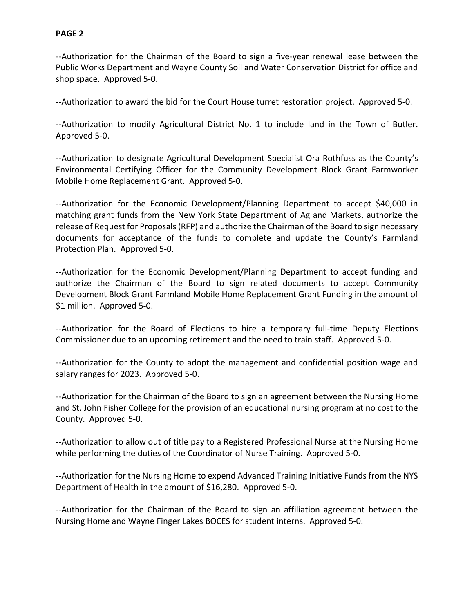--Authorization for the Chairman of the Board to sign a five-year renewal lease between the Public Works Department and Wayne County Soil and Water Conservation District for office and shop space. Approved 5-0.

--Authorization to award the bid for the Court House turret restoration project. Approved 5-0.

--Authorization to modify Agricultural District No. 1 to include land in the Town of Butler. Approved 5-0.

--Authorization to designate Agricultural Development Specialist Ora Rothfuss as the County's Environmental Certifying Officer for the Community Development Block Grant Farmworker Mobile Home Replacement Grant. Approved 5-0.

--Authorization for the Economic Development/Planning Department to accept \$40,000 in matching grant funds from the New York State Department of Ag and Markets, authorize the release of Request for Proposals (RFP) and authorize the Chairman of the Board to sign necessary documents for acceptance of the funds to complete and update the County's Farmland Protection Plan. Approved 5-0.

--Authorization for the Economic Development/Planning Department to accept funding and authorize the Chairman of the Board to sign related documents to accept Community Development Block Grant Farmland Mobile Home Replacement Grant Funding in the amount of \$1 million. Approved 5-0.

--Authorization for the Board of Elections to hire a temporary full-time Deputy Elections Commissioner due to an upcoming retirement and the need to train staff. Approved 5-0.

--Authorization for the County to adopt the management and confidential position wage and salary ranges for 2023. Approved 5-0.

--Authorization for the Chairman of the Board to sign an agreement between the Nursing Home and St. John Fisher College for the provision of an educational nursing program at no cost to the County. Approved 5-0.

--Authorization to allow out of title pay to a Registered Professional Nurse at the Nursing Home while performing the duties of the Coordinator of Nurse Training. Approved 5-0.

--Authorization for the Nursing Home to expend Advanced Training Initiative Funds from the NYS Department of Health in the amount of \$16,280. Approved 5-0.

--Authorization for the Chairman of the Board to sign an affiliation agreement between the Nursing Home and Wayne Finger Lakes BOCES for student interns. Approved 5-0.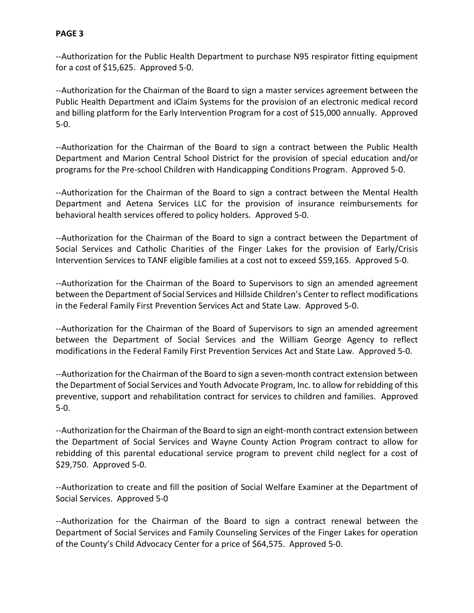--Authorization for the Public Health Department to purchase N95 respirator fitting equipment for a cost of \$15,625. Approved 5-0.

--Authorization for the Chairman of the Board to sign a master services agreement between the Public Health Department and iClaim Systems for the provision of an electronic medical record and billing platform for the Early Intervention Program for a cost of \$15,000 annually. Approved 5-0.

--Authorization for the Chairman of the Board to sign a contract between the Public Health Department and Marion Central School District for the provision of special education and/or programs for the Pre-school Children with Handicapping Conditions Program. Approved 5-0.

--Authorization for the Chairman of the Board to sign a contract between the Mental Health Department and Aetena Services LLC for the provision of insurance reimbursements for behavioral health services offered to policy holders. Approved 5-0.

--Authorization for the Chairman of the Board to sign a contract between the Department of Social Services and Catholic Charities of the Finger Lakes for the provision of Early/Crisis Intervention Services to TANF eligible families at a cost not to exceed \$59,165. Approved 5-0.

--Authorization for the Chairman of the Board to Supervisors to sign an amended agreement between the Department of Social Services and Hillside Children's Center to reflect modifications in the Federal Family First Prevention Services Act and State Law. Approved 5-0.

--Authorization for the Chairman of the Board of Supervisors to sign an amended agreement between the Department of Social Services and the William George Agency to reflect modifications in the Federal Family First Prevention Services Act and State Law. Approved 5-0.

--Authorization for the Chairman of the Board to sign a seven-month contract extension between the Department of Social Services and Youth Advocate Program, Inc. to allow for rebidding of this preventive, support and rehabilitation contract for services to children and families. Approved 5-0.

--Authorization for the Chairman of the Board to sign an eight-month contract extension between the Department of Social Services and Wayne County Action Program contract to allow for rebidding of this parental educational service program to prevent child neglect for a cost of \$29,750. Approved 5-0.

--Authorization to create and fill the position of Social Welfare Examiner at the Department of Social Services. Approved 5-0

--Authorization for the Chairman of the Board to sign a contract renewal between the Department of Social Services and Family Counseling Services of the Finger Lakes for operation of the County's Child Advocacy Center for a price of \$64,575. Approved 5-0.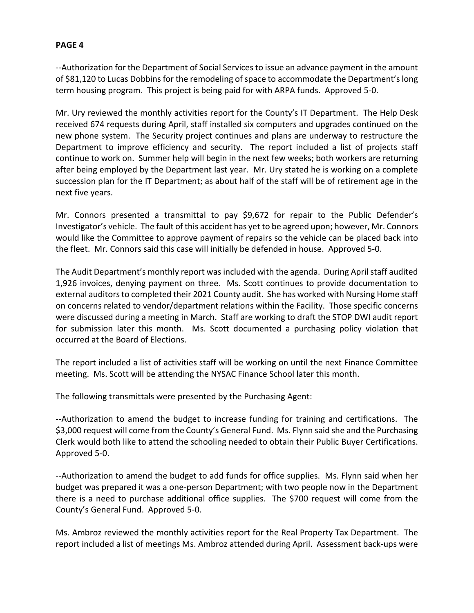--Authorization for the Department of Social Services to issue an advance payment in the amount of \$81,120 to Lucas Dobbins for the remodeling of space to accommodate the Department's long term housing program. This project is being paid for with ARPA funds. Approved 5-0.

Mr. Ury reviewed the monthly activities report for the County's IT Department. The Help Desk received 674 requests during April, staff installed six computers and upgrades continued on the new phone system. The Security project continues and plans are underway to restructure the Department to improve efficiency and security. The report included a list of projects staff continue to work on. Summer help will begin in the next few weeks; both workers are returning after being employed by the Department last year. Mr. Ury stated he is working on a complete succession plan for the IT Department; as about half of the staff will be of retirement age in the next five years.

Mr. Connors presented a transmittal to pay \$9,672 for repair to the Public Defender's Investigator's vehicle. The fault of this accident has yet to be agreed upon; however, Mr. Connors would like the Committee to approve payment of repairs so the vehicle can be placed back into the fleet. Mr. Connors said this case will initially be defended in house. Approved 5-0.

The Audit Department's monthly report was included with the agenda. During April staff audited 1,926 invoices, denying payment on three. Ms. Scott continues to provide documentation to external auditors to completed their 2021 County audit. She has worked with Nursing Home staff on concerns related to vendor/department relations within the Facility. Those specific concerns were discussed during a meeting in March. Staff are working to draft the STOP DWI audit report for submission later this month. Ms. Scott documented a purchasing policy violation that occurred at the Board of Elections.

The report included a list of activities staff will be working on until the next Finance Committee meeting. Ms. Scott will be attending the NYSAC Finance School later this month.

The following transmittals were presented by the Purchasing Agent:

--Authorization to amend the budget to increase funding for training and certifications. The \$3,000 request will come from the County's General Fund. Ms. Flynn said she and the Purchasing Clerk would both like to attend the schooling needed to obtain their Public Buyer Certifications. Approved 5-0.

--Authorization to amend the budget to add funds for office supplies. Ms. Flynn said when her budget was prepared it was a one-person Department; with two people now in the Department there is a need to purchase additional office supplies. The \$700 request will come from the County's General Fund. Approved 5-0.

Ms. Ambroz reviewed the monthly activities report for the Real Property Tax Department. The report included a list of meetings Ms. Ambroz attended during April. Assessment back-ups were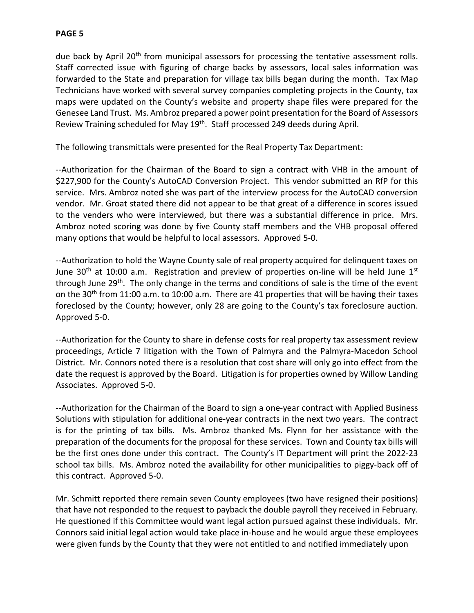due back by April 20<sup>th</sup> from municipal assessors for processing the tentative assessment rolls. Staff corrected issue with figuring of charge backs by assessors, local sales information was forwarded to the State and preparation for village tax bills began during the month. Tax Map Technicians have worked with several survey companies completing projects in the County, tax maps were updated on the County's website and property shape files were prepared for the Genesee Land Trust. Ms. Ambroz prepared a power point presentation for the Board of Assessors Review Training scheduled for May 19<sup>th</sup>. Staff processed 249 deeds during April.

The following transmittals were presented for the Real Property Tax Department:

--Authorization for the Chairman of the Board to sign a contract with VHB in the amount of \$227,900 for the County's AutoCAD Conversion Project. This vendor submitted an RfP for this service. Mrs. Ambroz noted she was part of the interview process for the AutoCAD conversion vendor. Mr. Groat stated there did not appear to be that great of a difference in scores issued to the venders who were interviewed, but there was a substantial difference in price. Mrs. Ambroz noted scoring was done by five County staff members and the VHB proposal offered many options that would be helpful to local assessors. Approved 5-0.

--Authorization to hold the Wayne County sale of real property acquired for delinquent taxes on June  $30<sup>th</sup>$  at 10:00 a.m. Registration and preview of properties on-line will be held June  $1<sup>st</sup>$ through June 29<sup>th</sup>. The only change in the terms and conditions of sale is the time of the event on the 30<sup>th</sup> from 11:00 a.m. to 10:00 a.m. There are 41 properties that will be having their taxes foreclosed by the County; however, only 28 are going to the County's tax foreclosure auction. Approved 5-0.

--Authorization for the County to share in defense costs for real property tax assessment review proceedings, Article 7 litigation with the Town of Palmyra and the Palmyra-Macedon School District. Mr. Connors noted there is a resolution that cost share will only go into effect from the date the request is approved by the Board. Litigation is for properties owned by Willow Landing Associates. Approved 5-0.

--Authorization for the Chairman of the Board to sign a one-year contract with Applied Business Solutions with stipulation for additional one-year contracts in the next two years. The contract is for the printing of tax bills. Ms. Ambroz thanked Ms. Flynn for her assistance with the preparation of the documents for the proposal for these services. Town and County tax bills will be the first ones done under this contract. The County's IT Department will print the 2022-23 school tax bills. Ms. Ambroz noted the availability for other municipalities to piggy-back off of this contract. Approved 5-0.

Mr. Schmitt reported there remain seven County employees (two have resigned their positions) that have not responded to the request to payback the double payroll they received in February. He questioned if this Committee would want legal action pursued against these individuals. Mr. Connors said initial legal action would take place in-house and he would argue these employees were given funds by the County that they were not entitled to and notified immediately upon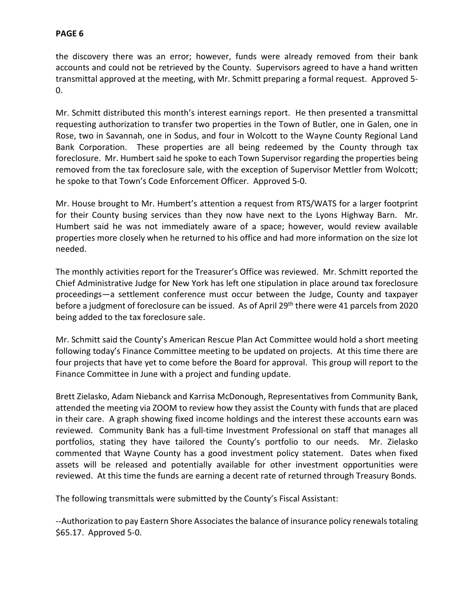the discovery there was an error; however, funds were already removed from their bank accounts and could not be retrieved by the County. Supervisors agreed to have a hand written transmittal approved at the meeting, with Mr. Schmitt preparing a formal request. Approved 5- 0.

Mr. Schmitt distributed this month's interest earnings report. He then presented a transmittal requesting authorization to transfer two properties in the Town of Butler, one in Galen, one in Rose, two in Savannah, one in Sodus, and four in Wolcott to the Wayne County Regional Land Bank Corporation. These properties are all being redeemed by the County through tax foreclosure. Mr. Humbert said he spoke to each Town Supervisor regarding the properties being removed from the tax foreclosure sale, with the exception of Supervisor Mettler from Wolcott; he spoke to that Town's Code Enforcement Officer. Approved 5-0.

Mr. House brought to Mr. Humbert's attention a request from RTS/WATS for a larger footprint for their County busing services than they now have next to the Lyons Highway Barn. Mr. Humbert said he was not immediately aware of a space; however, would review available properties more closely when he returned to his office and had more information on the size lot needed.

The monthly activities report for the Treasurer's Office was reviewed. Mr. Schmitt reported the Chief Administrative Judge for New York has left one stipulation in place around tax foreclosure proceedings—a settlement conference must occur between the Judge, County and taxpayer before a judgment of foreclosure can be issued. As of April 29th there were 41 parcels from 2020 being added to the tax foreclosure sale.

Mr. Schmitt said the County's American Rescue Plan Act Committee would hold a short meeting following today's Finance Committee meeting to be updated on projects. At this time there are four projects that have yet to come before the Board for approval. This group will report to the Finance Committee in June with a project and funding update.

Brett Zielasko, Adam Niebanck and Karrisa McDonough, Representatives from Community Bank, attended the meeting via ZOOM to review how they assist the County with funds that are placed in their care. A graph showing fixed income holdings and the interest these accounts earn was reviewed. Community Bank has a full-time Investment Professional on staff that manages all portfolios, stating they have tailored the County's portfolio to our needs. Mr. Zielasko commented that Wayne County has a good investment policy statement. Dates when fixed assets will be released and potentially available for other investment opportunities were reviewed. At this time the funds are earning a decent rate of returned through Treasury Bonds.

The following transmittals were submitted by the County's Fiscal Assistant:

--Authorization to pay Eastern Shore Associates the balance of insurance policy renewals totaling \$65.17. Approved 5-0.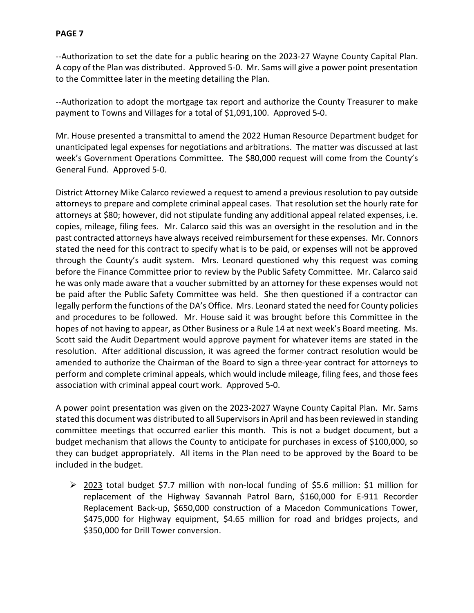--Authorization to set the date for a public hearing on the 2023-27 Wayne County Capital Plan. A copy of the Plan was distributed. Approved 5-0. Mr. Sams will give a power point presentation to the Committee later in the meeting detailing the Plan.

--Authorization to adopt the mortgage tax report and authorize the County Treasurer to make payment to Towns and Villages for a total of \$1,091,100. Approved 5-0.

Mr. House presented a transmittal to amend the 2022 Human Resource Department budget for unanticipated legal expenses for negotiations and arbitrations. The matter was discussed at last week's Government Operations Committee. The \$80,000 request will come from the County's General Fund. Approved 5-0.

District Attorney Mike Calarco reviewed a request to amend a previous resolution to pay outside attorneys to prepare and complete criminal appeal cases. That resolution set the hourly rate for attorneys at \$80; however, did not stipulate funding any additional appeal related expenses, i.e. copies, mileage, filing fees. Mr. Calarco said this was an oversight in the resolution and in the past contracted attorneys have always received reimbursement for these expenses. Mr. Connors stated the need for this contract to specify what is to be paid, or expenses will not be approved through the County's audit system. Mrs. Leonard questioned why this request was coming before the Finance Committee prior to review by the Public Safety Committee. Mr. Calarco said he was only made aware that a voucher submitted by an attorney for these expenses would not be paid after the Public Safety Committee was held. She then questioned if a contractor can legally perform the functions of the DA's Office. Mrs. Leonard stated the need for County policies and procedures to be followed. Mr. House said it was brought before this Committee in the hopes of not having to appear, as Other Business or a Rule 14 at next week's Board meeting. Ms. Scott said the Audit Department would approve payment for whatever items are stated in the resolution. After additional discussion, it was agreed the former contract resolution would be amended to authorize the Chairman of the Board to sign a three-year contract for attorneys to perform and complete criminal appeals, which would include mileage, filing fees, and those fees association with criminal appeal court work. Approved 5-0.

A power point presentation was given on the 2023-2027 Wayne County Capital Plan. Mr. Sams stated this document was distributed to all Supervisorsin April and has been reviewed in standing committee meetings that occurred earlier this month. This is not a budget document, but a budget mechanism that allows the County to anticipate for purchases in excess of \$100,000, so they can budget appropriately. All items in the Plan need to be approved by the Board to be included in the budget.

▶ 2023 total budget \$7.7 million with non-local funding of \$5.6 million: \$1 million for replacement of the Highway Savannah Patrol Barn, \$160,000 for E-911 Recorder Replacement Back-up, \$650,000 construction of a Macedon Communications Tower, \$475,000 for Highway equipment, \$4.65 million for road and bridges projects, and \$350,000 for Drill Tower conversion.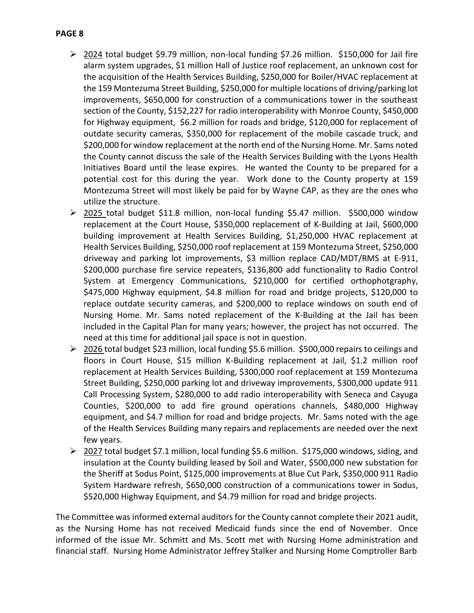- $\geq$  2024 total budget \$9.79 million, non-local funding \$7.26 million. \$150,000 for Jail fire alarm system upgrades, \$1 million Hall of Justice roof replacement, an unknown cost for the acquisition of the Health Services Building, \$250,000 for Boiler/HVAC replacement at the 159 Montezuma Street Building, \$250,000 for multiple locations of driving/parking lot improvements, \$650,000 for construction of a communications tower in the southeast section of the County, \$152,227 for radio interoperability with Monroe County, \$450,000 for Highway equipment, \$6.2 million for roads and bridge, \$120,000 for replacement of outdate security cameras, \$350,000 for replacement of the mobile cascade truck, and \$200,000 for window replacement at the north end of the Nursing Home. Mr. Sams noted the County cannot discuss the sale of the Health Services Building with the Lyons Health Initiatives Board until the lease expires. He wanted the County to be prepared for a potential cost for this during the year. Work done to the County property at 159 Montezuma Street will most likely be paid for by Wayne CAP, as they are the ones who utilize the structure.
- ▶ 2025 total budget \$11.8 million, non-local funding \$5.47 million. \$500,000 window replacement at the Court House, \$350,000 replacement of K-Building at Jail, \$600,000 building improvement at Health Services Building, \$1,250,000 HVAC replacement at Health Services Building, \$250,000 roof replacement at 159 Montezuma Street, \$250,000 driveway and parking lot improvements, \$3 million replace CAD/MDT/RMS at E-911, \$200,000 purchase fire service repeaters, \$136,800 add functionality to Radio Control System at Emergency Communications, \$210,000 for certified orthophotgraphy, \$475,000 Highway equipment, \$4.8 million for road and bridge projects, \$120,000 to replace outdate security cameras, and \$200,000 to replace windows on south end of Nursing Home. Mr. Sams noted replacement of the K-Building at the Jail has been included in the Capital Plan for many years; however, the project has not occurred. The need at this time for additional jail space is not in question.
- 2026 total budget \$23 million, local funding \$5.6 million. \$500,000 repairs to ceilings and floors in Court House, \$15 million K-Building replacement at Jail, \$1.2 million roof replacement at Health Services Building, \$300,000 roof replacement at 159 Montezuma Street Building, \$250,000 parking lot and driveway improvements, \$300,000 update 911 Call Processing System, \$280,000 to add radio interoperability with Seneca and Cayuga Counties, \$200,000 to add fire ground operations channels, \$480,000 Highway equipment, and \$4.7 million for road and bridge projects. Mr. Sams noted with the age of the Health Services Building many repairs and replacements are needed over the next few years.
- 2027 total budget \$7.1 million, local funding \$5.6 million. \$175,000 windows, siding, and insulation at the County building leased by Soil and Water, \$500,000 new substation for the Sheriff at Sodus Point, \$125,000 improvements at Blue Cut Park, \$350,000 911 Radio System Hardware refresh, \$650,000 construction of a communications tower in Sodus, \$520,000 Highway Equipment, and \$4.79 million for road and bridge projects.

The Committee was informed external auditors for the County cannot complete their 2021 audit, as the Nursing Home has not received Medicaid funds since the end of November. Once informed of the issue Mr. Schmitt and Ms. Scott met with Nursing Home administration and financial staff. Nursing Home Administrator Jeffrey Stalker and Nursing Home Comptroller Barb